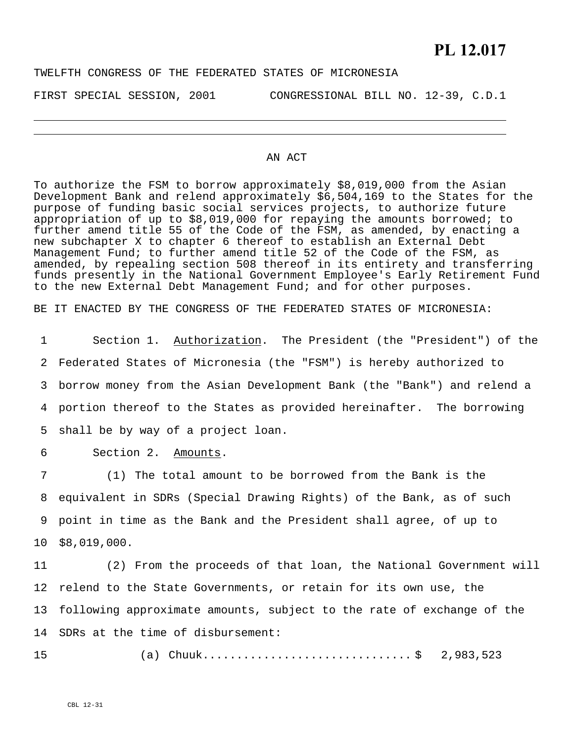#### TWELFTH CONGRESS OF THE FEDERATED STATES OF MICRONESIA

J.

FIRST SPECIAL SESSION, 2001 CONGRESSIONAL BILL NO. 12-39, C.D.1

#### AN ACT

To authorize the FSM to borrow approximately \$8,019,000 from the Asian Development Bank and relend approximately \$6,504,169 to the States for the purpose of funding basic social services projects, to authorize future appropriation of up to \$8,019,000 for repaying the amounts borrowed; to further amend title 55 of the Code of the FSM, as amended, by enacting a new subchapter X to chapter 6 thereof to establish an External Debt Management Fund; to further amend title 52 of the Code of the FSM, as amended, by repealing section 508 thereof in its entirety and transferring funds presently in the National Government Employee's Early Retirement Fund to the new External Debt Management Fund; and for other purposes.

BE IT ENACTED BY THE CONGRESS OF THE FEDERATED STATES OF MICRONESIA:

Section 1. Authorization. The President (the "President") of the Federated States of Micronesia (the "FSM") is hereby authorized to borrow money from the Asian Development Bank (the "Bank") and relend a portion thereof to the States as provided hereinafter. The borrowing shall be by way of a project loan. 1 2 3 4 5

6 Section 2. Amounts.

7 8 9 10 (1) The total amount to be borrowed from the Bank is the equivalent in SDRs (Special Drawing Rights) of the Bank, as of such point in time as the Bank and the President shall agree, of up to \$8,019,000.

11 12 13 14 SDRs at the time of disbursement: (2) From the proceeds of that loan, the National Government will relend to the State Governments, or retain for its own use, the following approximate amounts, subject to the rate of exchange of the

(a) Chuuk............................... \$ 2,983,523

15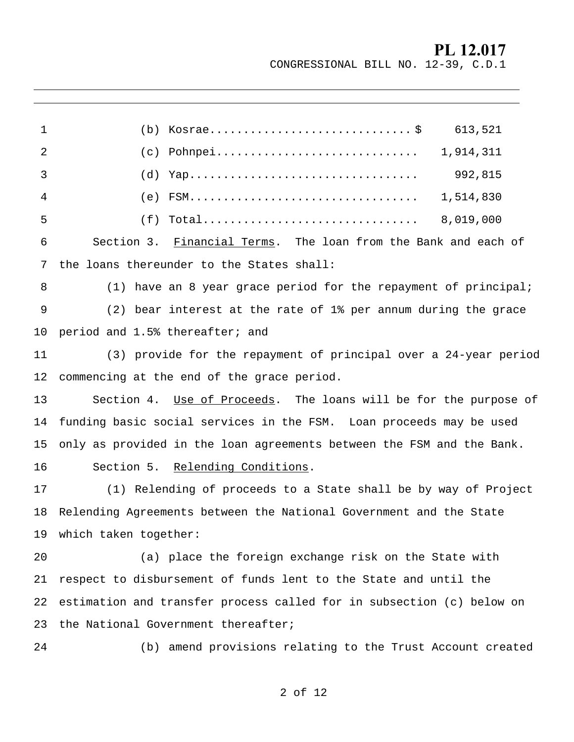CONGRESSIONAL BILL NO. 12-39, C.D.1

| 1  | 613,521                                                               |
|----|-----------------------------------------------------------------------|
| 2  | $(c)$ Pohnpei<br>1,914,311                                            |
| 3  | 992,815<br>(d)                                                        |
| 4  | 1,514,830<br>(e)                                                      |
| 5  | 8,019,000<br>(f)                                                      |
| 6  | Section 3. Financial Terms. The loan from the Bank and each of        |
| 7  | the loans thereunder to the States shall:                             |
| 8  | $(1)$ have an 8 year grace period for the repayment of principal;     |
| 9  | (2) bear interest at the rate of 1% per annum during the grace        |
| 10 | period and 1.5% thereafter; and                                       |
| 11 | (3) provide for the repayment of principal over a 24-year period      |
| 12 | commencing at the end of the grace period.                            |
| 13 | Section 4. Use of Proceeds. The loans will be for the purpose of      |
| 14 | funding basic social services in the FSM. Loan proceeds may be used   |
| 15 | only as provided in the loan agreements between the FSM and the Bank. |
| 16 | Section 5. Relending Conditions.                                      |
| 17 | (1) Relending of proceeds to a State shall be by way of Project       |
| 18 | Relending Agreements between the National Government and the State    |
|    | 19 which taken together:                                              |
| 20 | (a) place the foreign exchange risk on the State with                 |
| 21 | respect to disbursement of funds lent to the State and until the      |
| 22 | estimation and transfer process called for in subsection (c) below on |
| 23 | the National Government thereafter;                                   |
| 24 | (b) amend provisions relating to the Trust Account created            |
|    |                                                                       |

J.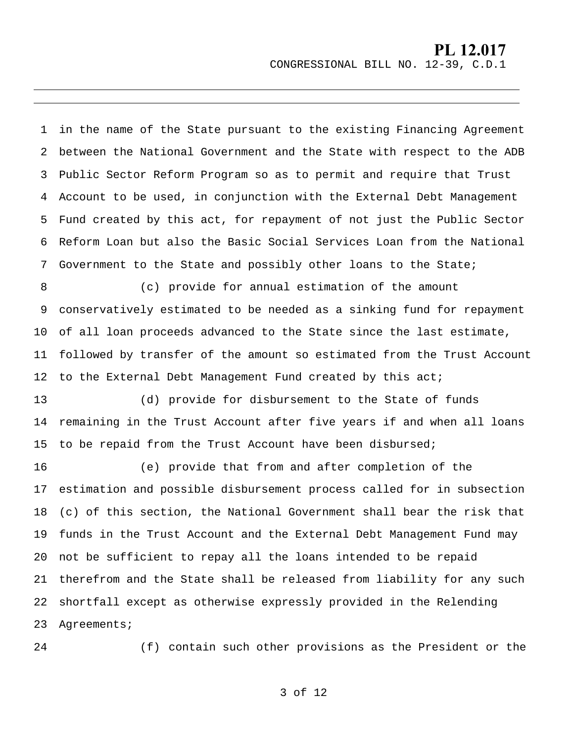CONGRESSIONAL BILL NO. 12-39, C.D.1

1 2 3 4 5 6 7 in the name of the State pursuant to the existing Financing Agreement between the National Government and the State with respect to the ADB Public Sector Reform Program so as to permit and require that Trust Account to be used, in conjunction with the External Debt Management Fund created by this act, for repayment of not just the Public Sector Reform Loan but also the Basic Social Services Loan from the National Government to the State and possibly other loans to the State;

8 9 10 11 12 (c) provide for annual estimation of the amount conservatively estimated to be needed as a sinking fund for repayment of all loan proceeds advanced to the State since the last estimate, followed by transfer of the amount so estimated from the Trust Account to the External Debt Management Fund created by this act;

13 14 15 (d) provide for disbursement to the State of funds remaining in the Trust Account after five years if and when all loans to be repaid from the Trust Account have been disbursed;

16 17 18 19 20 21 22 23 (e) provide that from and after completion of the estimation and possible disbursement process called for in subsection (c) of this section, the National Government shall bear the risk that funds in the Trust Account and the External Debt Management Fund may not be sufficient to repay all the loans intended to be repaid therefrom and the State shall be released from liability for any such shortfall except as otherwise expressly provided in the Relending Agreements;

24

J.

(f) contain such other provisions as the President or the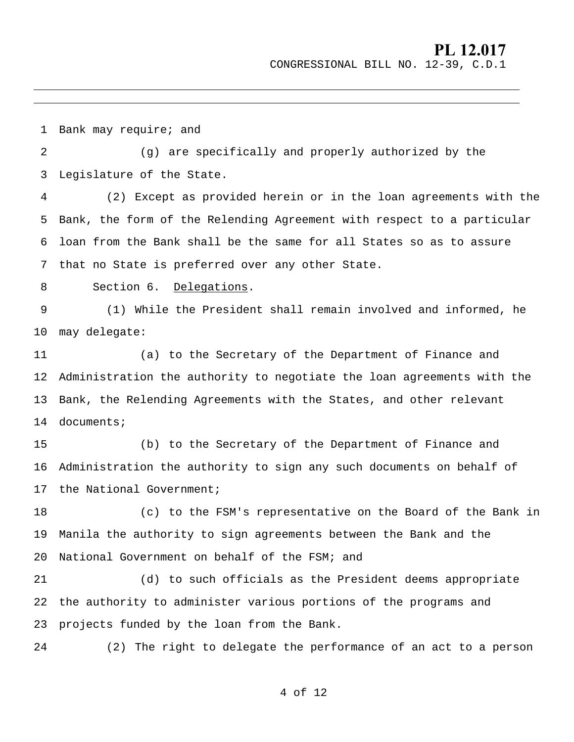CONGRESSIONAL BILL NO. 12-39, C.D.1

1 2 3 4 5 6 7 Bank may require; and (g) are specifically and properly authorized by the Legislature of the State. (2) Except as provided herein or in the loan agreements with the Bank, the form of the Relending Agreement with respect to a particular loan from the Bank shall be the same for all States so as to assure that no State is preferred over any other State. 8 9 10 11 12 13 14 15 16 17 18 19 20 21 22 23 24 Section 6. Delegations. (1) While the President shall remain involved and informed, he may delegate: (a) to the Secretary of the Department of Finance and Administration the authority to negotiate the loan agreements with the Bank, the Relending Agreements with the States, and other relevant documents; (b) to the Secretary of the Department of Finance and Administration the authority to sign any such documents on behalf of the National Government; (c) to the FSM's representative on the Board of the Bank in Manila the authority to sign agreements between the Bank and the National Government on behalf of the FSM; and (d) to such officials as the President deems appropriate the authority to administer various portions of the programs and projects funded by the loan from the Bank. (2) The right to delegate the performance of an act to a person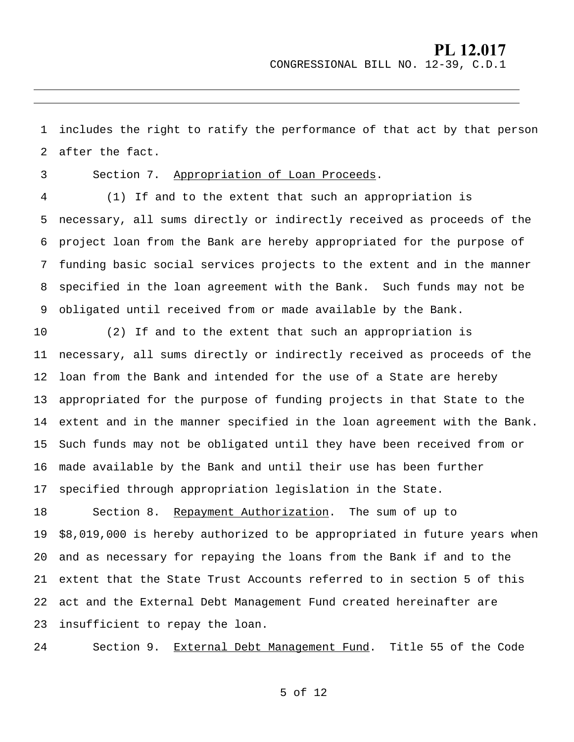CONGRESSIONAL BILL NO. 12-39, C.D.1

1 2 includes the right to ratify the performance of that act by that person after the fact.

3

J.

Section 7. Appropriation of Loan Proceeds.

4 5 6 7 8 9 (1) If and to the extent that such an appropriation is necessary, all sums directly or indirectly received as proceeds of the project loan from the Bank are hereby appropriated for the purpose of funding basic social services projects to the extent and in the manner specified in the loan agreement with the Bank. Such funds may not be obligated until received from or made available by the Bank.

10 11 12 13 14 15 16 17 (2) If and to the extent that such an appropriation is necessary, all sums directly or indirectly received as proceeds of the loan from the Bank and intended for the use of a State are hereby appropriated for the purpose of funding projects in that State to the extent and in the manner specified in the loan agreement with the Bank. Such funds may not be obligated until they have been received from or made available by the Bank and until their use has been further specified through appropriation legislation in the State.

18 19 20 21 22 23 Section 8. Repayment Authorization. The sum of up to \$8,019,000 is hereby authorized to be appropriated in future years when and as necessary for repaying the loans from the Bank if and to the extent that the State Trust Accounts referred to in section 5 of this act and the External Debt Management Fund created hereinafter are insufficient to repay the loan.

24 Section 9. External Debt Management Fund. Title 55 of the Code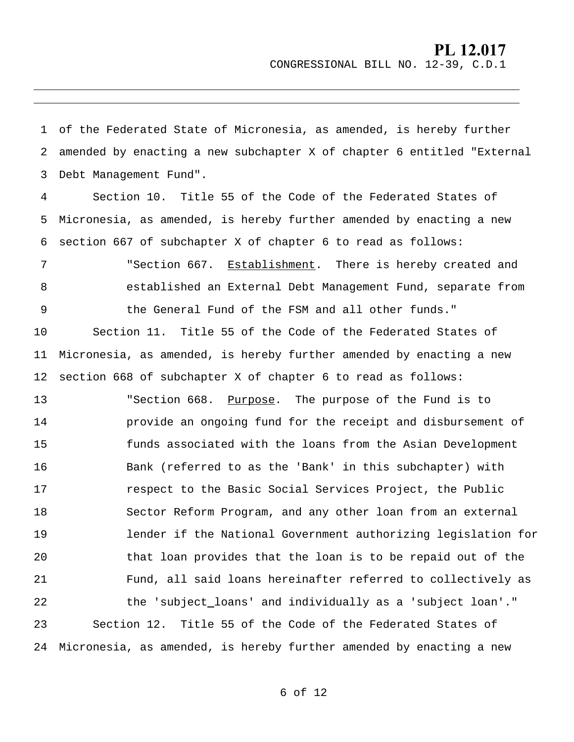CONGRESSIONAL BILL NO. 12-39, C.D.1

1 2 3 of the Federated State of Micronesia, as amended, is hereby further amended by enacting a new subchapter X of chapter 6 entitled "External Debt Management Fund".

J.

4 5 6 Section 10. Title 55 of the Code of the Federated States of Micronesia, as amended, is hereby further amended by enacting a new section 667 of subchapter X of chapter 6 to read as follows:

7 8 9 10 11 12 "Section 667. Establishment. There is hereby created and established an External Debt Management Fund, separate from the General Fund of the FSM and all other funds." Section 11. Title 55 of the Code of the Federated States of Micronesia, as amended, is hereby further amended by enacting a new section 668 of subchapter X of chapter 6 to read as follows: "Section 668. Purpose. The purpose of the Fund is to provide an ongoing fund for the receipt and disbursement of funds associated with the loans from the Asian Development Bank (referred to as the 'Bank' in this subchapter) with 13 14 15 16 17

respect to the Basic Social Services Project, the Public Sector Reform Program, and any other loan from an external lender if the National Government authorizing legislation for that loan provides that the loan is to be repaid out of the Fund, all said loans hereinafter referred to collectively as 22 hot the 'subject\_loans' and individually as a 'subject loan'." 18 19 20 21 23 24 Section 12. Title 55 of the Code of the Federated States of Micronesia, as amended, is hereby further amended by enacting a new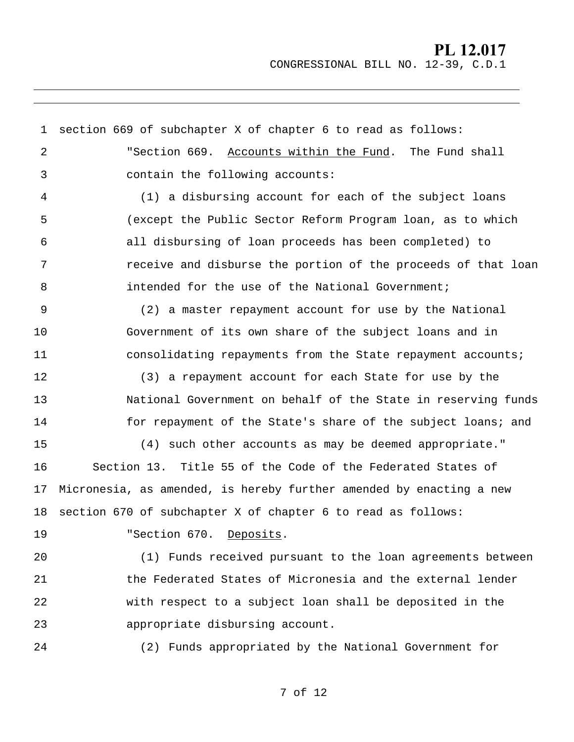### **PL 12.017** CONGRESSIONAL BILL NO. 12-39, C.D.1

1 section 669 of subchapter X of chapter 6 to read as follows: 2 3 4 5 6 7 8 9 10 11 12 13 14 15 16 17 18 "Section 669. Accounts within the Fund. The Fund shall contain the following accounts: (1) a disbursing account for each of the subject loans (except the Public Sector Reform Program loan, as to which all disbursing of loan proceeds has been completed) to receive and disburse the portion of the proceeds of that loan intended for the use of the National Government; (2) a master repayment account for use by the National Government of its own share of the subject loans and in consolidating repayments from the State repayment accounts; (3) a repayment account for each State for use by the National Government on behalf of the State in reserving funds for repayment of the State's share of the subject loans; and (4) such other accounts as may be deemed appropriate." Section 13. Title 55 of the Code of the Federated States of Micronesia, as amended, is hereby further amended by enacting a new section 670 of subchapter X of chapter 6 to read as follows:

19

J.

"Section 670. Deposits.

 $2.0$ 21 22 23 (1) Funds received pursuant to the loan agreements between the Federated States of Micronesia and the external lender with respect to a subject loan shall be deposited in the appropriate disbursing account.

24

(2) Funds appropriated by the National Government for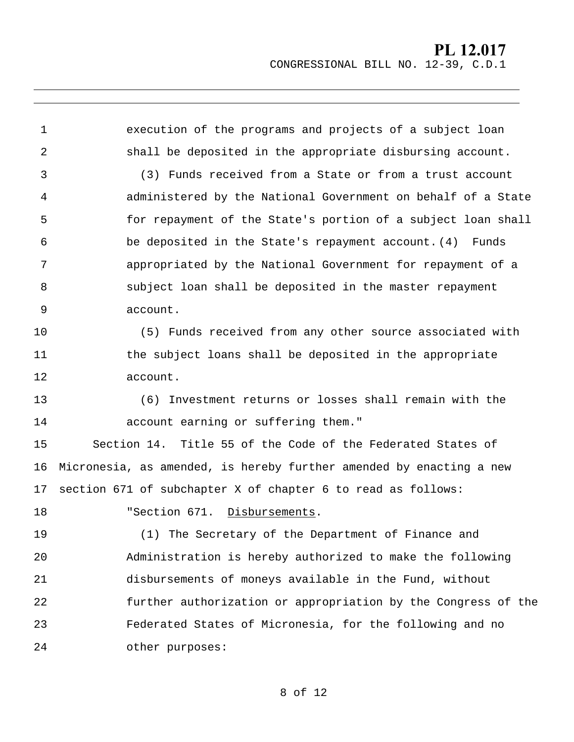CONGRESSIONAL BILL NO. 12-39, C.D.1

1 2 3 4 5 6 7 8 9 10 11 12 13 14 15 16 17 execution of the programs and projects of a subject loan shall be deposited in the appropriate disbursing account. (3) Funds received from a State or from a trust account administered by the National Government on behalf of a State for repayment of the State's portion of a subject loan shall be deposited in the State's repayment account. (4) Funds appropriated by the National Government for repayment of a subject loan shall be deposited in the master repayment account. (5) Funds received from any other source associated with the subject loans shall be deposited in the appropriate account. (6) Investment returns or losses shall remain with the account earning or suffering them." Section 14. Title 55 of the Code of the Federated States of Micronesia, as amended, is hereby further amended by enacting a new section 671 of subchapter X of chapter 6 to read as follows: 18 19 20 21 22 23 24 "Section 671. Disbursements. (1) The Secretary of the Department of Finance and Administration is hereby authorized to make the following disbursements of moneys available in the Fund, without further authorization or appropriation by the Congress of the Federated States of Micronesia, for the following and no other purposes: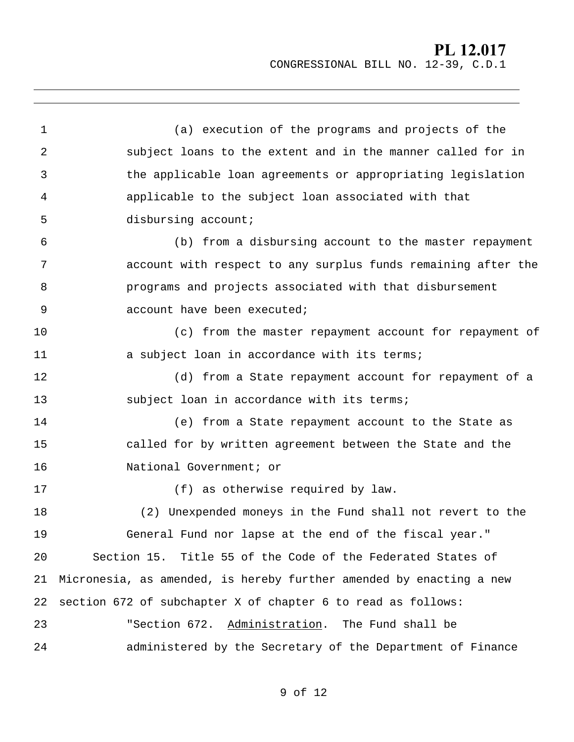CONGRESSIONAL BILL NO. 12-39, C.D.1

| 1  | (a) execution of the programs and projects of the                   |
|----|---------------------------------------------------------------------|
| 2  | subject loans to the extent and in the manner called for in         |
| 3  | the applicable loan agreements or appropriating legislation         |
| 4  | applicable to the subject loan associated with that                 |
| 5  | disbursing account;                                                 |
| 6  | (b) from a disbursing account to the master repayment               |
| 7  | account with respect to any surplus funds remaining after the       |
| 8  | programs and projects associated with that disbursement             |
| 9  | account have been executed;                                         |
| 10 | (c) from the master repayment account for repayment of              |
| 11 | a subject loan in accordance with its terms;                        |
| 12 | (d) from a State repayment account for repayment of a               |
| 13 | subject loan in accordance with its terms;                          |
| 14 | (e) from a State repayment account to the State as                  |
| 15 | called for by written agreement between the State and the           |
| 16 | National Government; or                                             |
| 17 | (f) as otherwise required by law.                                   |
| 18 | (2) Unexpended moneys in the Fund shall not revert to the           |
| 19 | General Fund nor lapse at the end of the fiscal year."              |
| 20 | Section 15. Title 55 of the Code of the Federated States of         |
| 21 | Micronesia, as amended, is hereby further amended by enacting a new |
| 22 | section 672 of subchapter X of chapter 6 to read as follows:        |
| 23 | "Section 672. Administration. The Fund shall be                     |
| 24 | administered by the Secretary of the Department of Finance          |

J.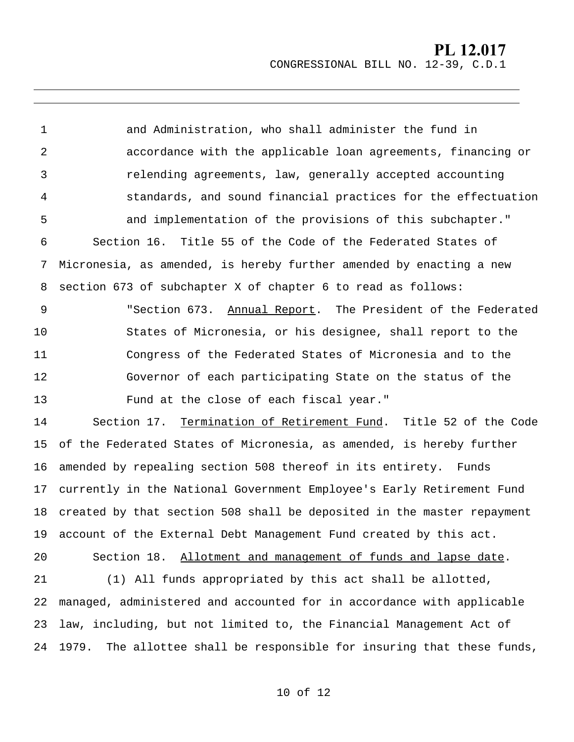CONGRESSIONAL BILL NO. 12-39, C.D.1

1 2 3 4 5 6 7 8 and Administration, who shall administer the fund in accordance with the applicable loan agreements, financing or relending agreements, law, generally accepted accounting standards, and sound financial practices for the effectuation and implementation of the provisions of this subchapter." Section 16. Title 55 of the Code of the Federated States of Micronesia, as amended, is hereby further amended by enacting a new section 673 of subchapter X of chapter 6 to read as follows: 9 10 11 12 13 "Section 673. Annual Report. The President of the Federated States of Micronesia, or his designee, shall report to the Congress of the Federated States of Micronesia and to the Governor of each participating State on the status of the Fund at the close of each fiscal year." 14 15 16 17 18 19 Section 17. Termination of Retirement Fund. Title 52 of the Code of the Federated States of Micronesia, as amended, is hereby further amended by repealing section 508 thereof in its entirety. Funds currently in the National Government Employee's Early Retirement Fund created by that section 508 shall be deposited in the master repayment account of the External Debt Management Fund created by this act. 20 21 22 23 24 Section 18. Allotment and management of funds and lapse date. (1) All funds appropriated by this act shall be allotted, managed, administered and accounted for in accordance with applicable law, including, but not limited to, the Financial Management Act of 1979. The allottee shall be responsible for insuring that these funds,